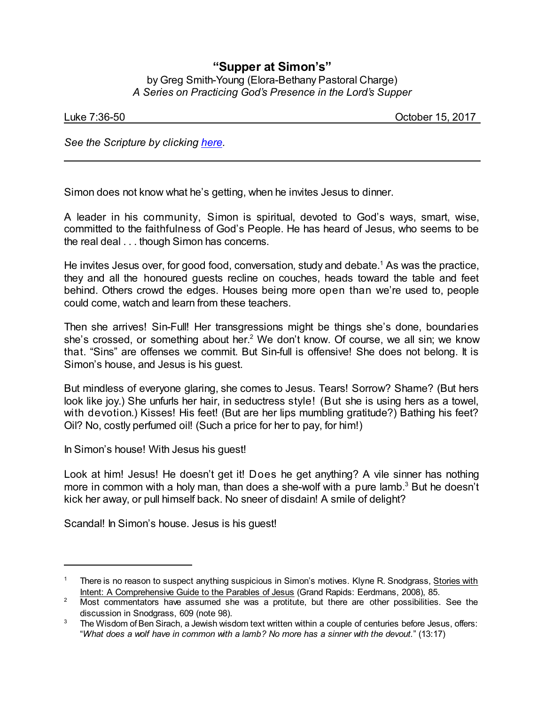## **"Supper at Simon's"**

by Greg Smith-Young (Elora-Bethany Pastoral Charge) *A Series on Practicing God's Presence in the Lord's Supper*

| uke 7:36-50_ |  |  |
|--------------|--|--|

October 15, 2017

*See the Scripture by clicking [here](https://www.biblegateway.com/passage/?search=Luke+7%3A36-50&version=CEB).*

Simon does not know what he's getting, when he invites Jesus to dinner.

A leader in his community, Simon is spiritual, devoted to God's ways, smart, wise, committed to the faithfulness of God's People. He has heard of Jesus, who seems to be the real deal . . . though Simon has concerns.

He invites Jesus over, for good food, conversation, study and debate.<sup>1</sup> As was the practice, they and all the honoured guests recline on couches, heads toward the table and feet behind. Others crowd the edges. Houses being more open than we're used to, people could come, watch and learn from these teachers.

Then she arrives! Sin-Full! Her transgressions might be things she's done, boundaries she's crossed, or something about her.<sup>2</sup> We don't know. Of course, we all sin; we know that. "Sins" are offenses we commit. But Sin-full is offensive! She does not belong. It is Simon's house, and Jesus is his guest.

But mindless of everyone glaring, she comes to Jesus. Tears! Sorrow? Shame? (But hers look like joy.) She unfurls her hair, in seductress style! (But she is using hers as a towel, with devotion.) Kisses! His feet! (But are her lips mumbling gratitude?) Bathing his feet? Oil? No, costly perfumed oil! (Such a price for her to pay, for him!)

In Simon's house! With Jesus his guest!

Look at him! Jesus! He doesn't get it! Does he get anything? A vile sinner has nothing more in common with a holy man, than does a she-wolf with a pure lamb.<sup>3</sup> But he doesn't kick her away, or pull himself back. No sneer of disdain! A smile of delight?

Scandal! In Simon's house. Jesus is his guest!

There is no reason to suspect anything suspicious in Simon's motives. Klyne R. Snodgrass, Stories with Intent: A Comprehensive Guide to the Parables of Jesus (Grand Rapids: Eerdmans, 2008), 85.

<sup>&</sup>lt;sup>2</sup> Most commentators have assumed she was a protitute, but there are other possibilities. See the discussion in Snodgrass, 609 (note 98).

<sup>&</sup>lt;sup>3</sup> The Wisdom of Ben Sirach, a Jewish wisdom text written within a couple of centuries before Jesus, offers: "*What does a wolf have in common with a lamb? No more has a sinner with the devout.*" (13:17)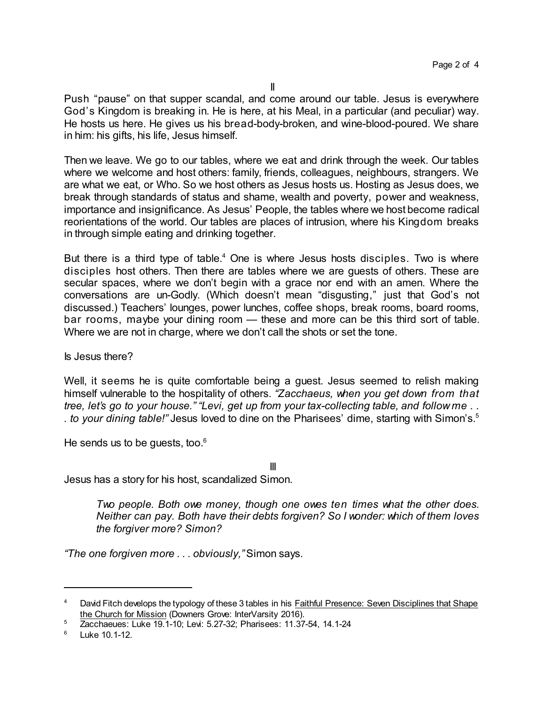Push "pause" on that supper scandal, and come around our table. Jesus is everywhere God's Kingdom is breaking in. He is here, at his Meal, in a particular (and peculiar) way. He hosts us here. He gives us his bread-body-broken, and wine-blood-poured. We share in him: his gifts, his life, Jesus himself.

Then we leave. We go to our tables, where we eat and drink through the week. Our tables where we welcome and host others: family, friends, colleagues, neighbours, strangers. We are what we eat, or Who. So we host others as Jesus hosts us. Hosting as Jesus does, we break through standards of status and shame, wealth and poverty, power and weakness, importance and insignificance. As Jesus' People, the tables where we host become radical reorientations of the world. Our tables are places of intrusion, where his Kingdom breaks in through simple eating and drinking together.

But there is a third type of table.<sup>4</sup> One is where Jesus hosts disciples. Two is where disciples host others. Then there are tables where we are guests of others. These are secular spaces, where we don't begin with a grace nor end with an amen. Where the conversations are un-Godly. (Which doesn't mean "disgusting," just that God's not discussed.) Teachers' lounges, power lunches, coffee shops, break rooms, board rooms, bar rooms, maybe your dining room — these and more can be this third sort of table. Where we are not in charge, where we don't call the shots or set the tone.

Is Jesus there?

Well, it seems he is quite comfortable being a guest. Jesus seemed to relish making himself vulnerable to the hospitality of others. *"Zacchaeus, when you get down from that tree, let's go to your house." "Levi, get up from your tax-collecting table, and follow me . . . to your dining table!"* Jesus loved to dine on the Pharisees' dime, starting with Simon's.<sup>5</sup>

He sends us to be quests, too. $6$ 

III

Jesus has a story for his host, scandalized Simon.

*Two people. Both owe money, though one owes ten times what the other does. Neither can pay. Both have their debts forgiven? So I wonder: which of them loves the forgiver more? Simon?*

*"The one forgiven more . . . obviously,"* Simon says.

David Fitch develops the typology of these 3 tables in his Faithful Presence: Seven Disciplines that Shape the Church for Mission (Downers Grove: InterVarsity 2016).

<sup>5</sup> Zacchaeues: Luke 19.1-10; Levi: 5.27-32; Pharisees: 11.37-54, 14.1-24

 $6$  Luke 10.1-12.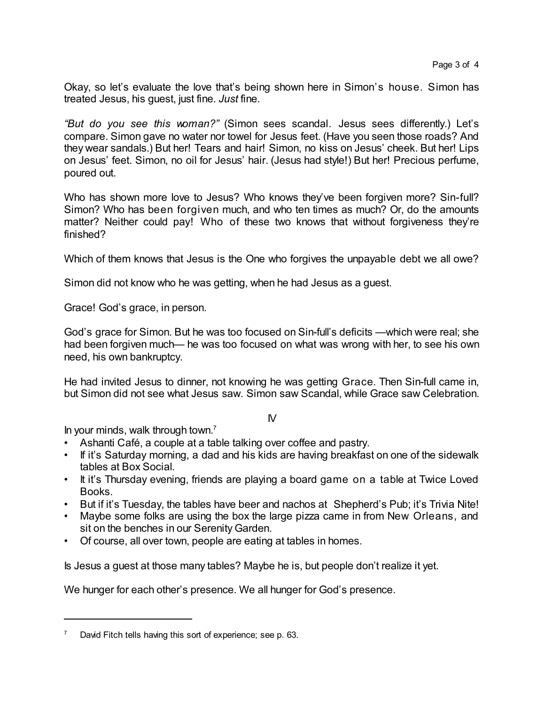Okay, so let's evaluate the love that's being shown here in Simon's house. Simon has treated Jesus, his guest, just fine. *Just* fine.

*"But do you see this woman?"* (Simon sees scandal. Jesus sees differently.) Let's compare. Simon gave no water nor towel for Jesus feet. (Have you seen those roads? And they wear sandals.) But her! Tears and hair! Simon, no kiss on Jesus' cheek. But her! Lips on Jesus' feet. Simon, no oil for Jesus' hair. (Jesus had style!) But her! Precious perfume, poured out.

Who has shown more love to Jesus? Who knows they've been forgiven more? Sin-full? Simon? Who has been forgiven much, and who ten times as much? Or, do the amounts matter? Neither could pay! Who of these two knows that without forgiveness they're finished?

Which of them knows that Jesus is the One who forgives the unpayable debt we all owe?

Simon did not know who he was getting, when he had Jesus as a guest.

Grace! God's grace, in person.

God's grace for Simon. But he was too focused on Sin-full's deficits —which were real; she had been forgiven much— he was too focused on what was wrong with her, to see his own need, his own bankruptcy.

He had invited Jesus to dinner, not knowing he was getting Grace. Then Sin-full came in, but Simon did not see what Jesus saw. Simon saw Scandal, while Grace saw Celebration.

## IV

In your minds, walk through town. 7

- Ashanti Café, a couple at a table talking over coffee and pastry.
- If it's Saturday morning, a dad and his kids are having breakfast on one of the sidewalk tables at Box Social.
- It it's Thursday evening, friends are playing a board game on a table at Twice Loved Books.
- But if it's Tuesday, the tables have beer and nachos at Shepherd's Pub; it's Trivia Nite!
- Maybe some folks are using the box the large pizza came in from New Orleans, and sit on the benches in our Serenity Garden.
- Of course, all over town, people are eating at tables in homes.

Is Jesus a guest at those many tables? Maybe he is, but people don't realize it yet.

We hunger for each other's presence. We all hunger for God's presence.

David Fitch tells having this sort of experience; see p. 63.